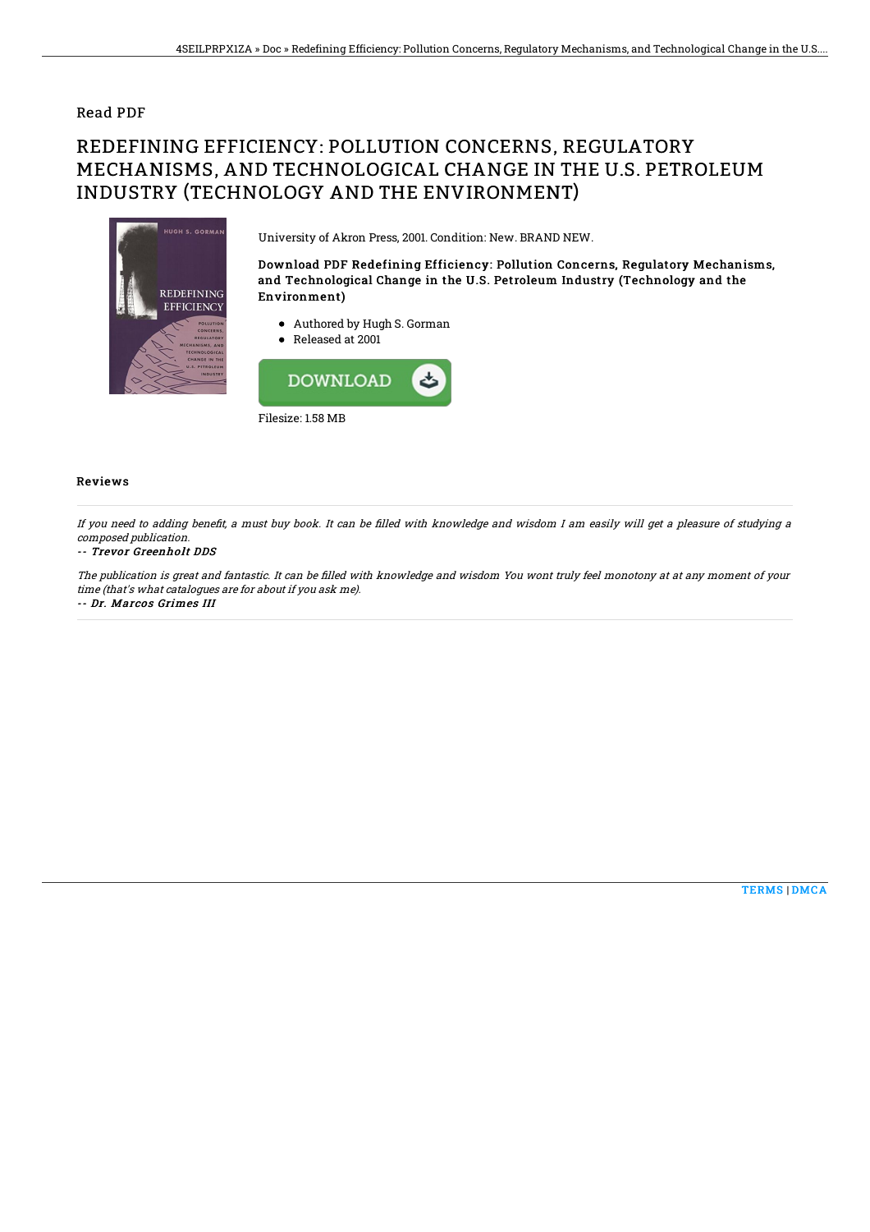### Read PDF

# REDEFINING EFFICIENCY: POLLUTION CONCERNS, REGULATORY MECHANISMS, AND TECHNOLOGICAL CHANGE IN THE U.S. PETROLEUM INDUSTRY (TECHNOLOGY AND THE ENVIRONMENT)



University of Akron Press, 2001. Condition: New. BRAND NEW.

Download PDF Redefining Efficiency: Pollution Concerns, Regulatory Mechanisms, and Technological Change in the U.S. Petroleum Industry (Technology and the Environment)

- Authored by Hugh S. Gorman
- Released at 2001



#### Reviews

If you need to adding benefit, a must buy book. It can be filled with knowledge and wisdom I am easily will get a pleasure of studying a composed publication.

#### -- Trevor Greenholt DDS

The publication is great and fantastic. It can be filled with knowledge and wisdom You wont truly feel monotony at at any moment of your time (that's what catalogues are for about if you ask me). -- Dr. Marcos Grimes III